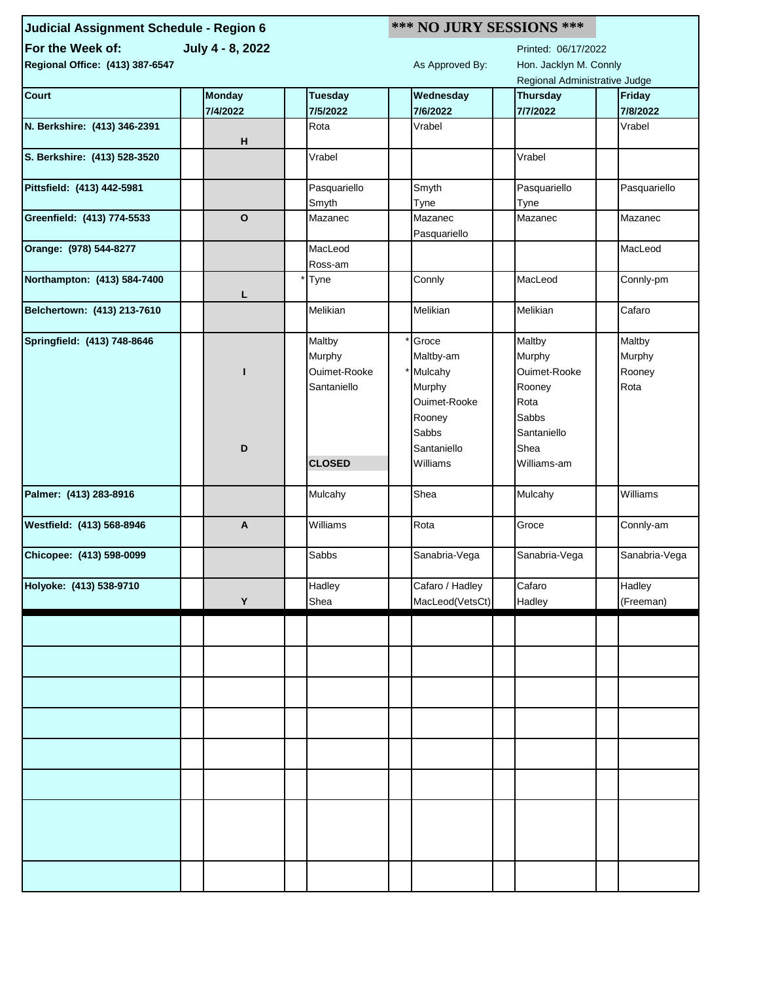| Judicial Assignment Schedule - Region 6 | *** NO JURY SESSIONS *** |                    |  |                         |  |                               |  |               |  |
|-----------------------------------------|--------------------------|--------------------|--|-------------------------|--|-------------------------------|--|---------------|--|
| For the Week of:                        | July 4 - 8, 2022         |                    |  |                         |  | Printed: 06/17/2022           |  |               |  |
| Regional Office: (413) 387-6547         |                          |                    |  | As Approved By:         |  | Hon. Jacklyn M. Connly        |  |               |  |
|                                         |                          |                    |  |                         |  | Regional Administrative Judge |  |               |  |
| <b>Court</b>                            | <b>Monday</b>            | <b>Tuesday</b>     |  | Wednesday               |  | <b>Thursday</b>               |  | <b>Friday</b> |  |
|                                         | 7/4/2022                 | 7/5/2022           |  | 7/6/2022                |  | 7/7/2022                      |  | 7/8/2022      |  |
| N. Berkshire: (413) 346-2391            |                          | Rota               |  | Vrabel                  |  |                               |  | Vrabel        |  |
|                                         | н                        |                    |  |                         |  |                               |  |               |  |
| S. Berkshire: (413) 528-3520            |                          | Vrabel             |  |                         |  | Vrabel                        |  |               |  |
| Pittsfield: (413) 442-5981              |                          | Pasquariello       |  | Smyth                   |  | Pasquariello                  |  | Pasquariello  |  |
|                                         |                          | Smyth              |  | Tyne                    |  | Tyne                          |  |               |  |
| Greenfield: (413) 774-5533              | $\mathbf{o}$             | Mazanec            |  | Mazanec<br>Pasquariello |  | Mazanec                       |  | Mazanec       |  |
| Orange: (978) 544-8277                  |                          | MacLeod<br>Ross-am |  |                         |  |                               |  | MacLeod       |  |
| Northampton: (413) 584-7400             | L                        | Tyne               |  | Connly                  |  | MacLeod                       |  | Connly-pm     |  |
| Belchertown: (413) 213-7610             |                          | Melikian           |  | Melikian                |  | Melikian                      |  | Cafaro        |  |
| Springfield: (413) 748-8646             |                          | Maltby             |  | Groce                   |  | Maltby                        |  | Maltby        |  |
|                                         |                          | Murphy             |  | Maltby-am               |  | Murphy                        |  | Murphy        |  |
|                                         | п                        | Ouimet-Rooke       |  | Mulcahy                 |  | Ouimet-Rooke                  |  | Rooney        |  |
|                                         |                          | Santaniello        |  | Murphy                  |  | Rooney                        |  | Rota          |  |
|                                         |                          |                    |  | Ouimet-Rooke            |  | Rota                          |  |               |  |
|                                         |                          |                    |  |                         |  | Sabbs                         |  |               |  |
|                                         |                          |                    |  | Rooney                  |  |                               |  |               |  |
|                                         |                          |                    |  | Sabbs                   |  | Santaniello                   |  |               |  |
|                                         | D                        |                    |  | Santaniello             |  | Shea                          |  |               |  |
|                                         |                          | <b>CLOSED</b>      |  | Williams                |  | Williams-am                   |  |               |  |
| Palmer: (413) 283-8916                  |                          | Mulcahy            |  | Shea                    |  | Mulcahy                       |  | Williams      |  |
|                                         |                          |                    |  |                         |  |                               |  |               |  |
| Westfield: (413) 568-8946               | A                        | Williams           |  | Rota                    |  | Groce                         |  | Connly-am     |  |
| Chicopee: (413) 598-0099                |                          | Sabbs              |  | Sanabria-Vega           |  | Sanabria-Vega                 |  | Sanabria-Vega |  |
| Holyoke: (413) 538-9710                 |                          | Hadley             |  | Cafaro / Hadley         |  | Cafaro                        |  | Hadley        |  |
|                                         | Y                        | Shea               |  | MacLeod(VetsCt)         |  | Hadley                        |  | (Freeman)     |  |
|                                         |                          |                    |  |                         |  |                               |  |               |  |
|                                         |                          |                    |  |                         |  |                               |  |               |  |
|                                         |                          |                    |  |                         |  |                               |  |               |  |
|                                         |                          |                    |  |                         |  |                               |  |               |  |
|                                         |                          |                    |  |                         |  |                               |  |               |  |
|                                         |                          |                    |  |                         |  |                               |  |               |  |
|                                         |                          |                    |  |                         |  |                               |  |               |  |
|                                         |                          |                    |  |                         |  |                               |  |               |  |
|                                         |                          |                    |  |                         |  |                               |  |               |  |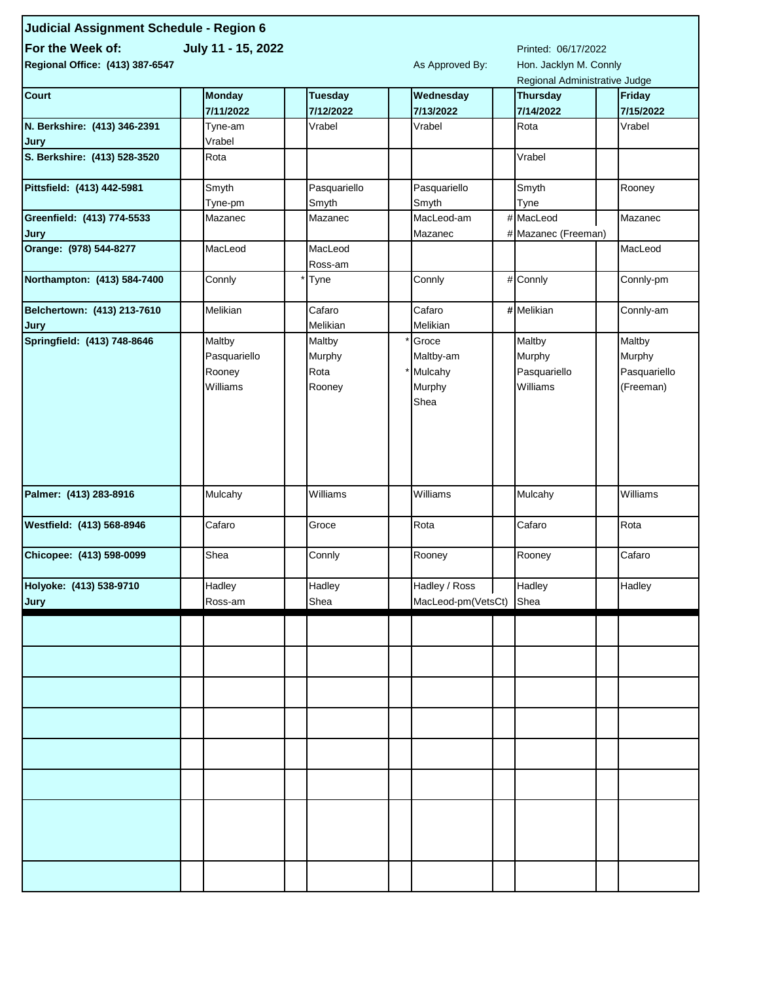| Judicial Assignment Schedule - Region 6 |                    |                                               |                    |  |                               |  |               |  |
|-----------------------------------------|--------------------|-----------------------------------------------|--------------------|--|-------------------------------|--|---------------|--|
| For the Week of:                        | July 11 - 15, 2022 |                                               |                    |  |                               |  |               |  |
| Regional Office: (413) 387-6547         | As Approved By:    | Printed: 06/17/2022<br>Hon. Jacklyn M. Connly |                    |  |                               |  |               |  |
|                                         |                    |                                               |                    |  | Regional Administrative Judge |  |               |  |
| <b>Court</b>                            | <b>Monday</b>      | <b>Tuesday</b>                                | Wednesday          |  | Thursday                      |  | <b>Friday</b> |  |
|                                         | 7/11/2022          | 7/12/2022                                     | 7/13/2022          |  | 7/14/2022                     |  | 7/15/2022     |  |
| N. Berkshire: (413) 346-2391            | Tyne-am            | Vrabel                                        | Vrabel             |  | Rota                          |  | Vrabel        |  |
| Jury                                    | Vrabel             |                                               |                    |  |                               |  |               |  |
| S. Berkshire: (413) 528-3520            | Rota               |                                               |                    |  | Vrabel                        |  |               |  |
|                                         |                    |                                               |                    |  |                               |  |               |  |
| Pittsfield: (413) 442-5981              | Smyth              | Pasquariello                                  | Pasquariello       |  | Smyth                         |  | Rooney        |  |
|                                         | Tyne-pm            | Smyth                                         | Smyth              |  | Tyne                          |  |               |  |
| Greenfield: (413) 774-5533              | Mazanec            | Mazanec                                       | MacLeod-am         |  | # MacLeod                     |  | Mazanec       |  |
| Jury                                    |                    |                                               | Mazanec            |  | # Mazanec (Freeman)           |  |               |  |
| Orange: (978) 544-8277                  | MacLeod            | MacLeod                                       |                    |  |                               |  | MacLeod       |  |
|                                         |                    | Ross-am                                       |                    |  |                               |  |               |  |
| Northampton: (413) 584-7400             | Connly             | Tyne                                          | Connly             |  | # Connly                      |  | Connly-pm     |  |
| Belchertown: (413) 213-7610             | Melikian           | Cafaro                                        | Cafaro             |  | #Melikian                     |  | Connly-am     |  |
| Jury                                    |                    | Melikian                                      | Melikian           |  |                               |  |               |  |
| Springfield: (413) 748-8646             | Maltby             | Maltby                                        | Groce              |  | Maltby                        |  | Maltby        |  |
|                                         | Pasquariello       | Murphy                                        | Maltby-am          |  | Murphy                        |  | Murphy        |  |
|                                         | Rooney             | Rota                                          | Mulcahy            |  | Pasquariello                  |  | Pasquariello  |  |
|                                         | Williams           | Rooney                                        | Murphy             |  | Williams                      |  | (Freeman)     |  |
|                                         |                    |                                               | Shea               |  |                               |  |               |  |
|                                         |                    |                                               |                    |  |                               |  |               |  |
|                                         |                    |                                               |                    |  |                               |  |               |  |
|                                         |                    |                                               |                    |  |                               |  |               |  |
|                                         |                    |                                               |                    |  |                               |  |               |  |
|                                         |                    |                                               |                    |  |                               |  |               |  |
| Palmer: (413) 283-8916                  | Mulcahy            | Williams                                      | Williams           |  | Mulcahy                       |  | Williams      |  |
|                                         |                    |                                               |                    |  |                               |  |               |  |
| Westfield: (413) 568-8946               | Cafaro             | Groce                                         | Rota               |  | Cafaro                        |  | Rota          |  |
| Chicopee: (413) 598-0099                | Shea               | Connly                                        | Rooney             |  | Rooney                        |  | Cafaro        |  |
|                                         |                    |                                               |                    |  |                               |  |               |  |
| Holyoke: (413) 538-9710                 | Hadley             | Hadley                                        | Hadley / Ross      |  | Hadley                        |  | Hadley        |  |
| Jury                                    | Ross-am            | Shea                                          | MacLeod-pm(VetsCt) |  | Shea                          |  |               |  |
|                                         |                    |                                               |                    |  |                               |  |               |  |
|                                         |                    |                                               |                    |  |                               |  |               |  |
|                                         |                    |                                               |                    |  |                               |  |               |  |
|                                         |                    |                                               |                    |  |                               |  |               |  |
|                                         |                    |                                               |                    |  |                               |  |               |  |
|                                         |                    |                                               |                    |  |                               |  |               |  |
|                                         |                    |                                               |                    |  |                               |  |               |  |
|                                         |                    |                                               |                    |  |                               |  |               |  |
|                                         |                    |                                               |                    |  |                               |  |               |  |
|                                         |                    |                                               |                    |  |                               |  |               |  |
|                                         |                    |                                               |                    |  |                               |  |               |  |
|                                         |                    |                                               |                    |  |                               |  |               |  |
|                                         |                    |                                               |                    |  |                               |  |               |  |
|                                         |                    |                                               |                    |  |                               |  |               |  |
|                                         |                    |                                               |                    |  |                               |  |               |  |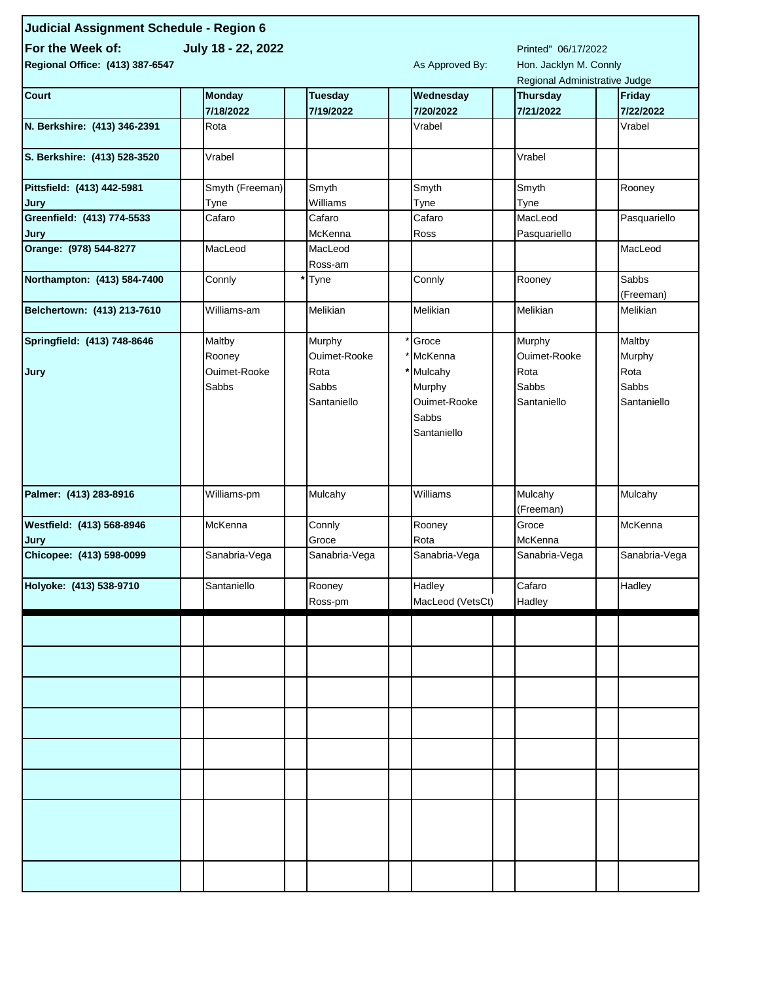| Judicial Assignment Schedule - Region 6 |                 |                    |                     |                        |  |                               |  |                    |  |
|-----------------------------------------|-----------------|--------------------|---------------------|------------------------|--|-------------------------------|--|--------------------|--|
| For the Week of:                        |                 |                    | Printed" 06/17/2022 |                        |  |                               |  |                    |  |
| Regional Office: (413) 387-6547         |                 | As Approved By:    |                     | Hon. Jacklyn M. Connly |  |                               |  |                    |  |
|                                         |                 |                    |                     |                        |  | Regional Administrative Judge |  |                    |  |
| <b>Court</b>                            | <b>Monday</b>   | <b>Tuesday</b>     |                     | Wednesday              |  | <b>Thursday</b>               |  | Friday             |  |
|                                         | 7/18/2022       | 7/19/2022          |                     | 7/20/2022              |  | 7/21/2022                     |  | 7/22/2022          |  |
| N. Berkshire: (413) 346-2391            | Rota            |                    |                     | Vrabel                 |  |                               |  | Vrabel             |  |
| S. Berkshire: (413) 528-3520            | Vrabel          |                    |                     |                        |  | Vrabel                        |  |                    |  |
| Pittsfield: (413) 442-5981              | Smyth (Freeman) | Smyth              |                     | Smyth                  |  | Smyth                         |  | Rooney             |  |
| Jury                                    | Tyne            | Williams           |                     | Tyne                   |  | Tyne                          |  |                    |  |
| Greenfield: (413) 774-5533<br>Jury      | Cafaro          | Cafaro<br>McKenna  |                     | Cafaro<br>Ross         |  | MacLeod<br>Pasquariello       |  | Pasquariello       |  |
| Orange: (978) 544-8277                  | MacLeod         | MacLeod<br>Ross-am |                     |                        |  |                               |  | MacLeod            |  |
| Northampton: (413) 584-7400             | Connly          | Tyne               |                     | Connly                 |  | Rooney                        |  | Sabbs<br>(Freeman) |  |
| Belchertown: (413) 213-7610             | Williams-am     | Melikian           |                     | Melikian               |  | Melikian                      |  | Melikian           |  |
| Springfield: (413) 748-8646             | Maltby          | Murphy             |                     | Groce                  |  | Murphy                        |  | Maltby             |  |
|                                         | Rooney          | Ouimet-Rooke       |                     | McKenna                |  | Ouimet-Rooke                  |  | Murphy             |  |
| Jury                                    | Ouimet-Rooke    | Rota               |                     | Mulcahy                |  | Rota                          |  | Rota               |  |
|                                         | Sabbs           | Sabbs              |                     | Murphy                 |  | Sabbs                         |  | Sabbs              |  |
|                                         |                 | Santaniello        |                     | Ouimet-Rooke           |  | Santaniello                   |  | Santaniello        |  |
|                                         |                 |                    |                     | Sabbs                  |  |                               |  |                    |  |
|                                         |                 |                    |                     | Santaniello            |  |                               |  |                    |  |
|                                         |                 |                    |                     |                        |  |                               |  |                    |  |
|                                         |                 |                    |                     |                        |  |                               |  |                    |  |
|                                         |                 |                    |                     |                        |  |                               |  |                    |  |
| Palmer: (413) 283-8916                  | Williams-pm     | Mulcahy            |                     | Williams               |  | Mulcahy                       |  | Mulcahy            |  |
|                                         |                 |                    |                     |                        |  | (Freeman)                     |  |                    |  |
| Westfield: (413) 568-8946               | McKenna         | Connly             |                     | Rooney                 |  | Groce                         |  | McKenna            |  |
| Jury                                    |                 | Groce              |                     | Rota                   |  | McKenna                       |  |                    |  |
| Chicopee: (413) 598-0099                | Sanabria-Vega   | Sanabria-Vega      |                     | Sanabria-Vega          |  | Sanabria-Vega                 |  | Sanabria-Vega      |  |
| Holyoke: (413) 538-9710                 | Santaniello     | Rooney             |                     | Hadley                 |  | Cafaro                        |  | Hadley             |  |
|                                         |                 | Ross-pm            |                     | MacLeod (VetsCt)       |  | Hadley                        |  |                    |  |
|                                         |                 |                    |                     |                        |  |                               |  |                    |  |
|                                         |                 |                    |                     |                        |  |                               |  |                    |  |
|                                         |                 |                    |                     |                        |  |                               |  |                    |  |
|                                         |                 |                    |                     |                        |  |                               |  |                    |  |
|                                         |                 |                    |                     |                        |  |                               |  |                    |  |
|                                         |                 |                    |                     |                        |  |                               |  |                    |  |
|                                         |                 |                    |                     |                        |  |                               |  |                    |  |
|                                         |                 |                    |                     |                        |  |                               |  |                    |  |
|                                         |                 |                    |                     |                        |  |                               |  |                    |  |